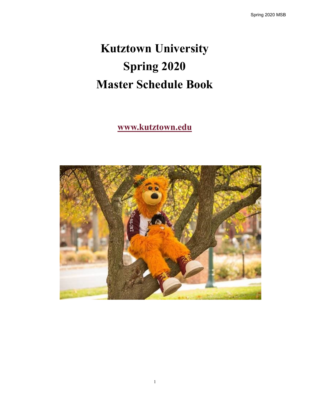# **Kutztown University Spring 2020 Master Schedule Book**

# **www.kutztown.edu**

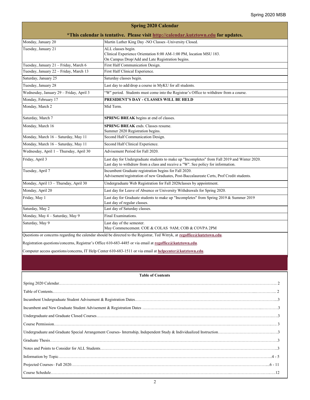| <b>Spring 2020 Calendar</b>                                                         |                                                                                                                                                                                  |  |  |  |  |
|-------------------------------------------------------------------------------------|----------------------------------------------------------------------------------------------------------------------------------------------------------------------------------|--|--|--|--|
| *This calendar is tentative. Please visit http://calendar.kutztown.edu for updates. |                                                                                                                                                                                  |  |  |  |  |
| Monday, January 20                                                                  | Martin Luther King Day -NO Classes -University Closed.                                                                                                                           |  |  |  |  |
| Tuesday, January 21                                                                 | ALL classes begin.<br>Clinical Experience Orientation 8:00 AM-1:00 PM, location MSU 183.<br>On Campus Drop/Add and Late Registration begins.                                     |  |  |  |  |
| Tuesday, January 21 - Friday, March 6                                               | First Half Communication Design.                                                                                                                                                 |  |  |  |  |
| Tuesday, January 22 - Friday, March 13                                              | First Half Clinical Experience.                                                                                                                                                  |  |  |  |  |
| Saturday, January 25                                                                | Saturday classes begin.                                                                                                                                                          |  |  |  |  |
| Tuesday, January 28                                                                 | Last day to add/drop a course in MyKU for all students.                                                                                                                          |  |  |  |  |
| Wednesday, January 29 - Friday, April 3                                             | "W" period. Students must come into the Registrar's Office to withdraw from a course.                                                                                            |  |  |  |  |
| Monday, February 17                                                                 | PRESIDENT'S DAY - CLASSES WILL BE HELD                                                                                                                                           |  |  |  |  |
| Monday, March 2                                                                     | Mid Term.                                                                                                                                                                        |  |  |  |  |
| Saturday, March 7                                                                   | SPRING BREAK begins at end of classes.                                                                                                                                           |  |  |  |  |
| Monday, March 16                                                                    | <b>SPRING BREAK</b> ends. Classes resume.<br>Summer 2020 Registration begins.                                                                                                    |  |  |  |  |
| Monday, March 16 - Saturday, May 11                                                 | Second Half Communication Design.                                                                                                                                                |  |  |  |  |
| Monday, March 16 - Saturday, May 11                                                 | Second Half Clinical Experience.                                                                                                                                                 |  |  |  |  |
| Wednesday, April 1 - Thursday, April 30                                             | Advisement Period for Fall 2020.                                                                                                                                                 |  |  |  |  |
| Friday, April 3                                                                     | Last day for Undergraduate students to make up "Incompletes" from Fall 2019 and Winter 2020.<br>Last day to withdraw from a class and receive a "W". See policy for information. |  |  |  |  |
| Tuesday, April 7                                                                    | Incumbent Graduate registration begins for Fall 2020.<br>Advisement/registration of new Graduates, Post-Baccalaureate Certs, Prof Credit students.                               |  |  |  |  |
| Monday, April 13 - Thursday, April 30                                               | Undergraduate Web Registration for Fall 2020classes by appointment.                                                                                                              |  |  |  |  |
| Monday, April 20                                                                    | Last day for Leave of Absence or University Withdrawals for Spring 2020.                                                                                                         |  |  |  |  |
| Friday, May 1                                                                       | Last day for Graduate students to make up "Incompletes" from Spring 2019 & Summer 2019<br>Last day of regular classes.                                                           |  |  |  |  |
| Saturday, May 2                                                                     | Last day of Saturday classes.                                                                                                                                                    |  |  |  |  |
| Monday, May 4 - Saturday, May 9                                                     | Final Examinations.                                                                                                                                                              |  |  |  |  |
| Saturday, May 9                                                                     | Last day of the semester.<br>May Commencement. COE & COLAS 9AM; COB & COVPA 2PM                                                                                                  |  |  |  |  |

Questions or concerns regarding the calendar should be directed to the Registrar, Ted Witryk, at **[regoffice@kutztown.edu](mailto:regoffice@kutztown.edu)**.

Registration questions/concerns, Registrar's Office 610-683-4485 or via email at **[regoffice@kutztown.edu](mailto:regoffice@kutztown.edu)**.

Computer access questions/concerns, IT Help Center 610-683-1511 or via email at **[helpcenter@kutztown.edu](mailto:helpcenter@kutztown.edu?subject=%20)**.

# **Table of Contents**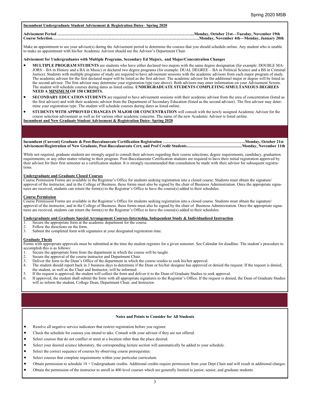# **Incumbent Undergraduate Student Advisement & Registration Dates– Spring 2020**

# **Advisement Period ………………………………………………………………………………………...Monday, October 21st—Tuesday, November 19th Course Selection……………………………………………………………………………………………….Monday, November 4th—Monday, January 20th**

Make an appointment to see your advisor(s) during the Advisement period to determine the courses that you should schedule online. Any student who is unable to make an appointment with his/her Academic Advisor should see the Advisor's Department Chair.

### **Advisement for Undergraduates with Multiple Programs, Secondary Ed Majors, and Major/Concentration Changes**

- **MULTIPLE PROGRAM STUDENTS** are students who have either declared two majors with the same degree designation (for example: DOUBLE MA-JORS – BA in History and a BA in Music) or declared two degree programs (for example: DUAL DEGREE – BA in Political Science and a BS in Criminal Justice). Students with multiple programs of study are required to have advisement sessions with the academic advisors from each major program of study. The academic advisor for the first declared major will be listed as the first advisor. The academic advisor for the additional major or degree will be listed as the second advisor. The first advisor may determine your registration type (see above). Both advisors may enter information on your Advisement Screen. The student will schedule courses during dates as listed online. **UNDERGRADUATE STUDENTS COMPLETING SIMULTANEOUS DEGREES NEED A MINIMUM OF 150 CREDITS.**
- **SECONDARY EDUCATION STUDENTS** are required to have advisement sessions with their academic advisor from the area of concentration (listed as the first advisor) and with their academic advisor from the Department of Secondary Education (listed as the second advisor). The first advisor may determine your registration type. The student will schedule courses during dates as listed online.
- **STUDENTS WITH APPROVED CHANGES IN MAJOR OR CONCENTRATION** will consult with the newly assigned Academic Advisor for the course selection advisement as well as for various other academic concerns. The name of the new Academic Advisor is listed online. **Incumbent and New Graduate Student Advisement & Registration Dates- Spring 2020**

**Incumbent (Current) Graduate & Post-Baccalaureate Certification Registration …………………………………………………….Monday, October 21st Advisement/Registration of New Graduate, Post-Baccalaureate Cert, and Prof Credit Students.....................................................Monday, November 11th**

While not required, graduate students are strongly urged to consult their advisors regarding their course selections, degree requirements, candidacy, graduation requirements, or any other matter relating to their program. Post-Baccalaureate Certification students are required to have their initial registration approved by their advisor for their first semester as a certification student. It is strongly recommended that consultation be made with their advisor for subsequent registrations.

### **Undergraduate and Graduate Closed Courses**

Course Permission Forms are available in the Registrar's Office for students seeking registration into a closed course. Students must obtain the signature/ approval of the instructor, and in the College of Business, these forms must also be signed by the chair of Business Administration. Once the appropriate signatures are received, students can return the form(s) to the Registrar's Office to have the course(s) added to their schedules.

### **Course Permission**

Course Permission Forms are available in the Registrar's Office for students seeking registration into a closed course. Students must obtain the signature/ approval of the instructor, and in the College of Business, these forms must also be signed by the chair of Business Administration. Once the appropriate signatures are received, students can return the form(s) to the Registrar's Office to have the course(s) added to their schedules.

# **Undergraduate and Graduate Special Arrangement Courses-Internship, Independent Study & Individualized Instruction**

- 1. Secure the appropriate form at the academic department for the course.<br>2. Follow the directions on the form.
- 2. Follow the directions on the form.<br>3. Submit the completed form with si
- Submit the completed form with signatures at your designated registration time.

# **Graduate Thesis**

Forms with appropriate approvals must be submitted at the time the student registers for a given semester. See Calendar for deadline. The student's procedure to accomplish this is as follows:

- 1. Secure the appropriate form from the department in which the course will be taught.
- 
- 2. Secure the approval of the course instructor and Department Chair.<br>3. Deliver the form to the Dean's Office of the department in which the 3. Deliver the form to the Dean's Office of the department in which the course resides to seek his/her approval.<br>4. The student should report back in 3 business days to determine if the Dean or his/her designee has approve
- The student should report back in 3 business days to determine if the Dean or his/her designee has approved or denied the request. If the request is denied, the student, as well as the Chair and Instructor, will be informed.
- 5. If the request is approved, the student will collect the form and deliver it to the Dean of Graduate Studies to seek approval.
- 6. If approved, the student shall submit the form with all appropriate signatures to the Registrar's Office. If the request is denied, the Dean of Graduate Studies will so inform the student, College Dean, Department Chair, and Instructor.

# **Notes and Points to Consider for All Students**

- Resolve all negative service indicators that restrict registration before you register.
- Check the schedule for courses you intend to take. Consult with your advisor if they are not offered.
- Select courses that do not conflict or meet at a location other than the place desired.
- Select your desired science laboratory, the corresponding lecture section will automatically be added to your schedule.
- Select the correct sequence of courses by observing course prerequisites.
- Select courses that complete requirements within your particular curriculum.
- Obtain permission to schedule 18 + Undergraduate credits. Additional credits require permission from your Dept Chair and will result in additional charges.
- Obtain the permission of the instructor to enroll in 400 level courses which are generally limited to junior, senior, and graduate students.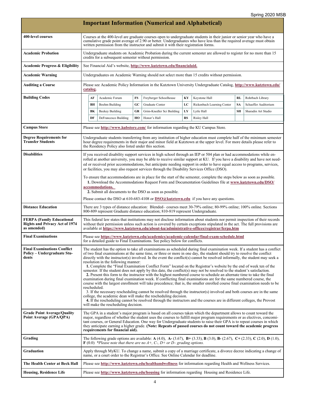| <b>Important Information (Numerical and Alphabetical)</b>                                |                                                                                                                                                                                                                                                                                                                                                                                                                                                                                                                                                                                                                                                                                                                                                                                                                                                                                                                                                                                                                                                                                                                                                                                                                                                                                                                                                                                                                                                   |                                                                                                                                                                                                                                                                                                                                                                                                                                                                                                                                                                                                                                                                                                                                                                                                                                                                                              |                                                       |    |                                                                                    |    |                                                                                                                                                                                                                                                     |           |                      |
|------------------------------------------------------------------------------------------|---------------------------------------------------------------------------------------------------------------------------------------------------------------------------------------------------------------------------------------------------------------------------------------------------------------------------------------------------------------------------------------------------------------------------------------------------------------------------------------------------------------------------------------------------------------------------------------------------------------------------------------------------------------------------------------------------------------------------------------------------------------------------------------------------------------------------------------------------------------------------------------------------------------------------------------------------------------------------------------------------------------------------------------------------------------------------------------------------------------------------------------------------------------------------------------------------------------------------------------------------------------------------------------------------------------------------------------------------------------------------------------------------------------------------------------------------|----------------------------------------------------------------------------------------------------------------------------------------------------------------------------------------------------------------------------------------------------------------------------------------------------------------------------------------------------------------------------------------------------------------------------------------------------------------------------------------------------------------------------------------------------------------------------------------------------------------------------------------------------------------------------------------------------------------------------------------------------------------------------------------------------------------------------------------------------------------------------------------------|-------------------------------------------------------|----|------------------------------------------------------------------------------------|----|-----------------------------------------------------------------------------------------------------------------------------------------------------------------------------------------------------------------------------------------------------|-----------|----------------------|
| 400-level courses                                                                        |                                                                                                                                                                                                                                                                                                                                                                                                                                                                                                                                                                                                                                                                                                                                                                                                                                                                                                                                                                                                                                                                                                                                                                                                                                                                                                                                                                                                                                                   | Courses at the 400-level are graduate courses open to undergraduate students in their junior or senior year who have a<br>cumulative grade point average of 2.90 or better. Undergraduates who have less than the required average must obtain<br>written permission from the instructor and submit it with their registration forms.                                                                                                                                                                                                                                                                                                                                                                                                                                                                                                                                                        |                                                       |    |                                                                                    |    |                                                                                                                                                                                                                                                     |           |                      |
| <b>Academic Probation</b>                                                                |                                                                                                                                                                                                                                                                                                                                                                                                                                                                                                                                                                                                                                                                                                                                                                                                                                                                                                                                                                                                                                                                                                                                                                                                                                                                                                                                                                                                                                                   |                                                                                                                                                                                                                                                                                                                                                                                                                                                                                                                                                                                                                                                                                                                                                                                                                                                                                              | credits for a subsequent semester without permission. |    |                                                                                    |    | Undergraduate students on Academic Probation during the current semester are allowed to register for no more than 15                                                                                                                                |           |                      |
| <b>Academic Progress &amp; Eligibility</b>                                               |                                                                                                                                                                                                                                                                                                                                                                                                                                                                                                                                                                                                                                                                                                                                                                                                                                                                                                                                                                                                                                                                                                                                                                                                                                                                                                                                                                                                                                                   |                                                                                                                                                                                                                                                                                                                                                                                                                                                                                                                                                                                                                                                                                                                                                                                                                                                                                              |                                                       |    | See Financial Aid's website, http://www.kutztown.edu/financialaid.                 |    |                                                                                                                                                                                                                                                     |           |                      |
| <b>Academic Warning</b>                                                                  |                                                                                                                                                                                                                                                                                                                                                                                                                                                                                                                                                                                                                                                                                                                                                                                                                                                                                                                                                                                                                                                                                                                                                                                                                                                                                                                                                                                                                                                   |                                                                                                                                                                                                                                                                                                                                                                                                                                                                                                                                                                                                                                                                                                                                                                                                                                                                                              |                                                       |    |                                                                                    |    | Undergraduates on Academic Warning should not select more than 15 credits without permission.                                                                                                                                                       |           |                      |
| <b>Auditing a Course</b>                                                                 |                                                                                                                                                                                                                                                                                                                                                                                                                                                                                                                                                                                                                                                                                                                                                                                                                                                                                                                                                                                                                                                                                                                                                                                                                                                                                                                                                                                                                                                   | catalog.                                                                                                                                                                                                                                                                                                                                                                                                                                                                                                                                                                                                                                                                                                                                                                                                                                                                                     |                                                       |    |                                                                                    |    | Please see Academic Policy Information in the Kutztown University Undergraduate Catalog, http://www.kutztown.edu/                                                                                                                                   |           |                      |
| <b>Building Codes</b>                                                                    |                                                                                                                                                                                                                                                                                                                                                                                                                                                                                                                                                                                                                                                                                                                                                                                                                                                                                                                                                                                                                                                                                                                                                                                                                                                                                                                                                                                                                                                   | AF                                                                                                                                                                                                                                                                                                                                                                                                                                                                                                                                                                                                                                                                                                                                                                                                                                                                                           | Academic Forum                                        | FS | Freyberger Schoolhouse                                                             | KY | Keystone Hall                                                                                                                                                                                                                                       | <b>RL</b> | Rohrbach Library     |
|                                                                                          |                                                                                                                                                                                                                                                                                                                                                                                                                                                                                                                                                                                                                                                                                                                                                                                                                                                                                                                                                                                                                                                                                                                                                                                                                                                                                                                                                                                                                                                   | BH                                                                                                                                                                                                                                                                                                                                                                                                                                                                                                                                                                                                                                                                                                                                                                                                                                                                                           | Boehm Building                                        | GC | Graduate Center                                                                    | LC | Rickenbach Learning Center                                                                                                                                                                                                                          | <b>SA</b> | Schaeffer Auditorium |
|                                                                                          |                                                                                                                                                                                                                                                                                                                                                                                                                                                                                                                                                                                                                                                                                                                                                                                                                                                                                                                                                                                                                                                                                                                                                                                                                                                                                                                                                                                                                                                   | BK                                                                                                                                                                                                                                                                                                                                                                                                                                                                                                                                                                                                                                                                                                                                                                                                                                                                                           | Beekey Building                                       | GR | Grim-Knedler Sci Building                                                          | LY | Lytle Hall                                                                                                                                                                                                                                          | <b>SH</b> | Sharadin Art Studio  |
|                                                                                          |                                                                                                                                                                                                                                                                                                                                                                                                                                                                                                                                                                                                                                                                                                                                                                                                                                                                                                                                                                                                                                                                                                                                                                                                                                                                                                                                                                                                                                                   | DF                                                                                                                                                                                                                                                                                                                                                                                                                                                                                                                                                                                                                                                                                                                                                                                                                                                                                           | DeFrancesco Building                                  | HO | Honor's Hall                                                                       | RS | Risley Hall                                                                                                                                                                                                                                         |           |                      |
| <b>Campus Store</b>                                                                      |                                                                                                                                                                                                                                                                                                                                                                                                                                                                                                                                                                                                                                                                                                                                                                                                                                                                                                                                                                                                                                                                                                                                                                                                                                                                                                                                                                                                                                                   |                                                                                                                                                                                                                                                                                                                                                                                                                                                                                                                                                                                                                                                                                                                                                                                                                                                                                              |                                                       |    | Please see http://www.kubstore.com/ for information regarding the KU Campus Store. |    |                                                                                                                                                                                                                                                     |           |                      |
| <b>Degree Requirements for</b><br><b>Transfer Students</b>                               |                                                                                                                                                                                                                                                                                                                                                                                                                                                                                                                                                                                                                                                                                                                                                                                                                                                                                                                                                                                                                                                                                                                                                                                                                                                                                                                                                                                                                                                   |                                                                                                                                                                                                                                                                                                                                                                                                                                                                                                                                                                                                                                                                                                                                                                                                                                                                                              | the Residency Policy also listed under this section.  |    |                                                                                    |    | Undergraduate students transferring from any institution of higher education must complete half of the minimum semester<br>hour degree requirements in their major and minor field at Kutztown at the upper level. For more details please refer to |           |                      |
| <b>Disabilities</b>                                                                      |                                                                                                                                                                                                                                                                                                                                                                                                                                                                                                                                                                                                                                                                                                                                                                                                                                                                                                                                                                                                                                                                                                                                                                                                                                                                                                                                                                                                                                                   | If you received disability support services in high school through an IEP or 504 plan or had accommodations while en-<br>rolled at another university, you may be able to receive similar support at KU. If you have a disability and have not need-<br>ed or received prior accommodations, but anticipate needing support in order to have equal access to programs, services,<br>or facilities, you may also request services through the Disability Services Office (DSO).<br>To ensure that accommodations are in place for the start of the semester, complete the steps below as soon as possible.<br>1. Download the Accommodations Request Form and Documentation Guidelines file at www.kutztown.edu/DSO/<br>accommodations.<br>2. Submit all documents to the DSO as soon as possible.<br>Please contact the DSO at 610-683-4108 or $DSO@kutztown.edu$ if you have any questions. |                                                       |    |                                                                                    |    |                                                                                                                                                                                                                                                     |           |                      |
| <b>Distance Education</b>                                                                |                                                                                                                                                                                                                                                                                                                                                                                                                                                                                                                                                                                                                                                                                                                                                                                                                                                                                                                                                                                                                                                                                                                                                                                                                                                                                                                                                                                                                                                   | There are 3 types of distance education: Blended–courses meet 30-79% online; 80-99% online; 100% online. Sections<br>800-809 represent Graduate distance education; 810-819 represent Undergraduate.                                                                                                                                                                                                                                                                                                                                                                                                                                                                                                                                                                                                                                                                                         |                                                       |    |                                                                                    |    |                                                                                                                                                                                                                                                     |           |                      |
| <b>FERPA (Family Educational</b><br><b>Rights and Privacy Act of 1974</b><br>as amended) |                                                                                                                                                                                                                                                                                                                                                                                                                                                                                                                                                                                                                                                                                                                                                                                                                                                                                                                                                                                                                                                                                                                                                                                                                                                                                                                                                                                                                                                   | This federal law states that institutions may not disclose information about students nor permit inspection of their records<br>without their permission unless such action is covered by certain exceptions stipulated in the act. The full provisions are<br>available at https://www.kutztown.edu/about-ku/administrative-offices/registrar/ferpa.htm                                                                                                                                                                                                                                                                                                                                                                                                                                                                                                                                     |                                                       |    |                                                                                    |    |                                                                                                                                                                                                                                                     |           |                      |
| <b>Final Examinations</b>                                                                |                                                                                                                                                                                                                                                                                                                                                                                                                                                                                                                                                                                                                                                                                                                                                                                                                                                                                                                                                                                                                                                                                                                                                                                                                                                                                                                                                                                                                                                   | Please see https://www.kutztown.edu/academics/academic-calendar/final-exam-schedule.html<br>for a detailed guide to Final Examinations. See policy below for conflicts.                                                                                                                                                                                                                                                                                                                                                                                                                                                                                                                                                                                                                                                                                                                      |                                                       |    |                                                                                    |    |                                                                                                                                                                                                                                                     |           |                      |
| <b>Final Examinations Conflict</b><br><b>Policy – Undergraduate Stu-</b><br>dents        | The student has the option to take all examinations as scheduled during final examination week. If a student has a conflict<br>of two final examinations at the same time, or three or more in one day, the student should try to resolve the conflict<br>directly with the instructor(s) involved. In the event the conflict(s) cannot be resolved informally, the student may seek a<br>resolution in the following manner:<br>1. Complete the "Final Examination Conflict Form" located on the Registrar's website by the end of week ten of the<br>semester. If the student does not apply by this date, the conflict(s) may not be resolved to the student's satisfaction.<br>2. Present this form to the instructor with the highest numbered course to schedule an alternate time to take the final<br>examination during final examination week. If conflicting final examinations are for the same numbered course, the<br>course with the largest enrollment will take precedence; that is, the smaller enrolled course final examination needs to be<br>rescheduled.<br>3. If the necessary rescheduling cannot be resolved through the instructor(s) involved and both courses are in the same<br>college, the academic dean will make the rescheduling decision.<br>4. If the rescheduling cannot be resolved through the instructors and the courses are in different colleges, the Provost<br>will make the rescheduling decision. |                                                                                                                                                                                                                                                                                                                                                                                                                                                                                                                                                                                                                                                                                                                                                                                                                                                                                              |                                                       |    |                                                                                    |    |                                                                                                                                                                                                                                                     |           |                      |
| <b>Grade Point Average/Quality</b><br>Point Average (GPA/QPA)                            |                                                                                                                                                                                                                                                                                                                                                                                                                                                                                                                                                                                                                                                                                                                                                                                                                                                                                                                                                                                                                                                                                                                                                                                                                                                                                                                                                                                                                                                   | The GPA in a student's major program is based on all courses taken which the department allows to count toward the<br>major, regardless of whether the student uses the courses to fulfill major program requirements or as electives, concomi-<br>tant courses, or General Education. One way for Undergraduate students to raise their GPA is to repeat courses in which<br>they anticipate earning a higher grade. (Note: Repeats of passed courses do not count toward the academic progress<br>requirements for financial aid).                                                                                                                                                                                                                                                                                                                                                         |                                                       |    |                                                                                    |    |                                                                                                                                                                                                                                                     |           |                      |
| Grading                                                                                  |                                                                                                                                                                                                                                                                                                                                                                                                                                                                                                                                                                                                                                                                                                                                                                                                                                                                                                                                                                                                                                                                                                                                                                                                                                                                                                                                                                                                                                                   |                                                                                                                                                                                                                                                                                                                                                                                                                                                                                                                                                                                                                                                                                                                                                                                                                                                                                              |                                                       |    | $\mathbf{F}(0.0)$ *Please note that there are no A+, C-, D+ or D– grading options. |    | The following grade options are available: A (4.0), A-(3.67), B+(3.33), B (3.0), B-(2.67), C+(2.33), C (2.0), D (1.0),                                                                                                                              |           |                      |
| <b>Graduation</b>                                                                        |                                                                                                                                                                                                                                                                                                                                                                                                                                                                                                                                                                                                                                                                                                                                                                                                                                                                                                                                                                                                                                                                                                                                                                                                                                                                                                                                                                                                                                                   | Apply through MyKU. To change a name, submit a copy of a marriage certificate, a divorce decree indicating a change of<br>name, or a court order to the Registrar's Office. See Online Calendar for deadline.                                                                                                                                                                                                                                                                                                                                                                                                                                                                                                                                                                                                                                                                                |                                                       |    |                                                                                    |    |                                                                                                                                                                                                                                                     |           |                      |
| The Health Center at Beck Hall                                                           |                                                                                                                                                                                                                                                                                                                                                                                                                                                                                                                                                                                                                                                                                                                                                                                                                                                                                                                                                                                                                                                                                                                                                                                                                                                                                                                                                                                                                                                   |                                                                                                                                                                                                                                                                                                                                                                                                                                                                                                                                                                                                                                                                                                                                                                                                                                                                                              |                                                       |    |                                                                                    |    | Please see http://www.kutztown.edu/healthandwellness for information regarding Health and Wellness Services.                                                                                                                                        |           |                      |
| <b>Housing, Residence Life</b>                                                           |                                                                                                                                                                                                                                                                                                                                                                                                                                                                                                                                                                                                                                                                                                                                                                                                                                                                                                                                                                                                                                                                                                                                                                                                                                                                                                                                                                                                                                                   |                                                                                                                                                                                                                                                                                                                                                                                                                                                                                                                                                                                                                                                                                                                                                                                                                                                                                              |                                                       |    |                                                                                    |    | Please see http://www.kutztown.edu/housing for information regarding Housing and Residence Life.                                                                                                                                                    |           |                      |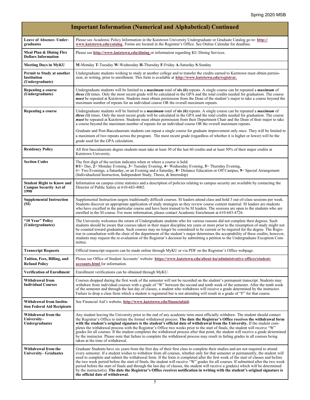|                                                                           | <b>Important Information (Numerical and Alphabetical) Continued</b>                                                                                                                                                                                                                                                                                                                                                                                                                                                                                                                                                                                                                                                                                                                                                                                               |
|---------------------------------------------------------------------------|-------------------------------------------------------------------------------------------------------------------------------------------------------------------------------------------------------------------------------------------------------------------------------------------------------------------------------------------------------------------------------------------------------------------------------------------------------------------------------------------------------------------------------------------------------------------------------------------------------------------------------------------------------------------------------------------------------------------------------------------------------------------------------------------------------------------------------------------------------------------|
| Leave of Absence- Under-<br>graduates                                     | Please see Academic Policy Information in the Kutztown University Undergraduate or Graduate Catalog go to: http://<br>www.kutztown.edu/catalog. Forms are located in the Registrar's Office. See Online Calendar for deadline.                                                                                                                                                                                                                                                                                                                                                                                                                                                                                                                                                                                                                                    |
| Meal Plan & Dining Flex<br><b>Dollars Information</b>                     | Please see http://www.kutztown.edu/dining or information regarding KU Dining Services.                                                                                                                                                                                                                                                                                                                                                                                                                                                                                                                                                                                                                                                                                                                                                                            |
| <b>Meeting Days in MyKU</b>                                               | M-Monday T-Tuesday W-Wednesday H-Thursday F-Friday A-Saturday S-Sunday                                                                                                                                                                                                                                                                                                                                                                                                                                                                                                                                                                                                                                                                                                                                                                                            |
| Permit to Study at another<br>Institution<br>(Undergraduate)              | Undergraduate students wishing to study at another college and to transfer the credits earned to Kutztown must obtain permis-<br>sion, in writing, prior to enrollment. This form is available at http://www.kutztown.edu/registrar.                                                                                                                                                                                                                                                                                                                                                                                                                                                                                                                                                                                                                              |
| Repeating a course<br>(Undergraduate)                                     | Undergraduate students will be limited to a <i>maximum</i> total of six (6) repeats. A single course can be repeated a <i>maximum</i> of<br><i>three</i> (3) times. Only the most recent grade will be calculated in the GPA and the total credits needed for graduation. The course<br><i>must</i> be repeated at Kutztown. Students must obtain permission from the Dean of the student's major to take a course beyond the<br>maximum number of repeats for an individual course OR the overall maximum repeats.                                                                                                                                                                                                                                                                                                                                               |
| Repeating a course                                                        | Undergraduate students will be limited to a <i>maximum</i> total of $\sin(6)$ repeats. A single course can be repeated a <i>maximum</i> of<br><i>three (3)</i> times. Only the most recent grade will be calculated in the GPA and the total credits needed for graduation. The course<br>must be repeated at Kutztown. Students must obtain permission from their Department Chair and the Dean of their major to take<br>a course beyond the maximum number of repeats for an individual course OR the overall maximum repeats.                                                                                                                                                                                                                                                                                                                                 |
|                                                                           | Graduate and Post-Baccalaureate students can repeat a single course for graduate improvement only once. They will be limited to<br>a maximum of two repeats across the program. The most recent grade (regardless of whether it is higher or lower) will be the<br>grade used for the GPA calculation.                                                                                                                                                                                                                                                                                                                                                                                                                                                                                                                                                            |
| <b>Residency Policy</b>                                                   | All first baccalaureate degree students must take at least 30 of the last 60 credits and at least 50% of their major credits at<br>Kutztown University.                                                                                                                                                                                                                                                                                                                                                                                                                                                                                                                                                                                                                                                                                                           |
| <b>Section Codes</b>                                                      | The first digit of the section indicates when or where a course is held:<br>$0/1$ = Day, 2 = Monday Evening, 3 = Tuesday Evening, 4 = Wednesday Evening, 5 = Thursday Evening,<br>6 Two Evenings, a Saturday, or an Evening and a Saturday, 8 Distance Education or Off Campus, 9 Special Arrangement<br>(Individualized Instruction, Independent Study, Thesis, & Internship)                                                                                                                                                                                                                                                                                                                                                                                                                                                                                    |
| <b>Student Right to Know and</b><br><b>Campus Security Act of</b><br>1990 | Information on campus crime statistics and a description of policies relating to campus security are available by contacting the<br>Director of Public Safety at 610-683-4002.                                                                                                                                                                                                                                                                                                                                                                                                                                                                                                                                                                                                                                                                                    |
| <b>Supplemental Instruction</b><br>(SI)                                   | Supplemental Instruction targets traditionally difficult courses. SI leaders attend class and hold 3 out-of-class sessions per week.<br>Students discover an appropriate application of study strategies as they review course content material. SI leaders are students<br>who have excelled in the particular course and have been trained to be SI leaders. The sessions are open to the students who are<br>enrolled in the SI course. For more information, please contact Academic Enrichment at 610-683-4726.                                                                                                                                                                                                                                                                                                                                              |
| "10 Year" Policy<br>(Undergraduates)                                      | The University welcomes the return of Undergraduate students who for various reasons did not complete their degrees. Such<br>students should be aware that courses taken in their major discipline ten years or more prior to the resumption of study might not<br>be counted toward graduation. Such courses may no longer be considered to be current or be required for the degree. The Regis-<br>trar in consultation with the chair of the department of the student's major determines the acceptability of these credits; however,<br>students may request the re-evaluation of the Registrar's decision by submitting a petition to the Undergraduate Exception Com-<br>mittee.                                                                                                                                                                           |
| <b>Transcript Requests</b>                                                | Official transcript requests can be made online through MyKU or via PDF on the Registrar's Office webpage.                                                                                                                                                                                                                                                                                                                                                                                                                                                                                                                                                                                                                                                                                                                                                        |
| Tuition, Fees, Billing, and<br><b>Refund Policy</b>                       | Please see Office of Student Accounts' website: https://www.kutztown.edu/about-ku/administrative-offices/student-<br>accounts.html for information.                                                                                                                                                                                                                                                                                                                                                                                                                                                                                                                                                                                                                                                                                                               |
| <b>Verification of Enrollment</b>                                         | Enrollment verifications can be obtained through MyKU.                                                                                                                                                                                                                                                                                                                                                                                                                                                                                                                                                                                                                                                                                                                                                                                                            |
| Withdrawal from<br><b>Individual Courses</b>                              | Courses dropped during the first week of the semester will not be recorded on the student's permanent transcript. Students may<br>withdraw from individual courses with a grade of "W" between the second and tenth week of the semester. After the tenth week<br>of the semester and through the last day of classes, a student who withdraws will receive a grade determined by the instructor.<br>Failure to drop a class from which a student is registered but is not attending will result in a grade of "F" for that course.                                                                                                                                                                                                                                                                                                                               |
| Withdrawal from Institu-<br>tion Federal Aid Recipients                   | See Financial Aid's website, http://www.kutztown.edu/financialaid.                                                                                                                                                                                                                                                                                                                                                                                                                                                                                                                                                                                                                                                                                                                                                                                                |
| Withdrawal from the<br>University-<br><b>Undergraduates</b>               | Any student leaving the University prior to the end of any academic term must officially withdraw. The student should contact<br>the Registrar's Office to initiate the formal withdrawal process. The date the Registrar's Office receives the withdrawal form<br>with the student's original signature is the student's official date of withdrawal from the University. If the student com-<br>pletes the withdrawal process with the Registrar's Office two weeks prior to the start of finals, the student will receive "W"<br>grades for all courses. If the student completes the withdrawal process after that point, the student will receive a grade determined<br>by the instructor. Please note that failure to complete the withdrawal process may result in failing grades in all courses being<br>taken at the time of withdrawal.                 |
| Withdrawal from the<br>University– Graduates                              | Graduate Students have six years from the first day of their first class to complete their studies and are not required to attend<br>every semester. If a student wishes to withdraw from all courses, whether only for that semester or permanently, the student will<br>need to complete and submit the withdrawal form. If the form is completed after the first week of the start of classes and before<br>the two week period before the start of finals, the student will receive "W" grades for all courses. If submitted after the two week<br>period before the start of finals and through the last day of classes, the student will receive a grade(s) which will be determined<br>by the instructor(s). The date the Registrar's Office receives notification in writing with the student's original signature is<br>the official date of withdrawal. |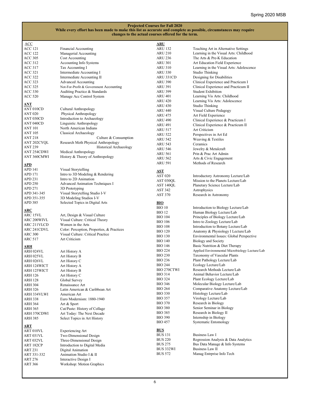| <b>Projected Courses for Fall 2020</b>                                                                             |  |  |  |  |
|--------------------------------------------------------------------------------------------------------------------|--|--|--|--|
| While every effort has been made to make this list as accurate and complete as possible, circumstances may require |  |  |  |  |
| changes to the actual courses offered for the term.                                                                |  |  |  |  |

| ACC            | Financial Accounting                       | <b>ARU</b><br><b>ARU 132</b> |                                                |
|----------------|--------------------------------------------|------------------------------|------------------------------------------------|
| ACC 121        |                                            | <b>ARU 210</b>               | Teaching Art in Alternative Settings           |
| ACC 122        | Managerial Accounting                      |                              | Learning in the Visual Arts: Childhood         |
| <b>ACC 305</b> | Cost Accounting                            | <b>ARU 236</b>               | The Arts & Pre-K Education                     |
| <b>ACC 312</b> | Accounting Info Systems                    | <b>ARU 301</b>               | Art Education Field Experience                 |
| ACC 317        | Tax Accounting I                           | <b>ARU 310</b>               | Learning in the Visual Arts: Adolescence       |
| ACC 321        | Intermediate Accounting I                  | ARU 330                      | Studio Thinking                                |
| <b>ACC 322</b> | Intermediate Accounting II                 | ARU 331CD                    | Designing for Disabilities                     |
| ACC 323        | Advanced Accounting                        | <b>ARU 390</b>               | Clinical Experience and Practicum I            |
| ACC 325        | Not-For-Profit & Government Accounting     | <b>ARU 391</b>               | Clinical Experience and Practicum II           |
| <b>ACC 330</b> | Auditing Practice & Standards              | <b>ARU 399</b>               | <b>Student Exhibition</b>                      |
| <b>ACC 520</b> | Manage Acc Control System                  | ARU 401                      | Learning Vis Arts: Childhood                   |
| ANT            |                                            | ARU 420                      | Learning Vis Arts: Adolescence                 |
| ANT 010CD      | Cultural Anthropology                      | ARU 430                      | Studio Thinking                                |
|                |                                            | ARU 440                      | Visual Culture Pedagogy                        |
| <b>ANT 020</b> | Physical Anthropology                      | ARU 475                      | Art Field Experience                           |
| ANT 030CD      | Introduction to Archaeology                | <b>ARU 490</b>               | Clinical Experience & Practicum I              |
| ANT 040CD      | Linguistic Anthropology                    | <b>ARU 491</b>               | Clinical Experience & Practicum II             |
| ANT 101        | North American Indians                     | ARU 517                      | Art Criticism                                  |
| <b>ANT 105</b> | Classical Archaeology                      | ARU 522                      | Perspectives in Art Ed                         |
| ANT 218        | Culture & Consumption                      | ARU 542                      | Weaving & Textiles                             |
| ANT 202CYQL    | Research Meth Physical Anthropology        | ARU 543                      | Ceramics                                       |
| <b>ANT 239</b> | Historical Archaeology                     | <b>ARU 546</b>               | Jewelry & Metalcraft                           |
| ANT 254CDWI    | Medical Anthropology                       | <b>ARU 561</b>               | Prin & Prac Art Admin                          |
| ANT 360CMWI    | History & Theory of Anthropology           | <b>ARU 562</b>               | Arts & Civic Engagement                        |
| APD            |                                            | <b>ARU 591</b>               | Methods of Research                            |
| APD 141        | Visual Storytelling                        |                              |                                                |
|                | Intro to 3D Modeling & Rendering           | <b>AST</b>                   |                                                |
| APD 171        |                                            | <b>AST 020</b>               | Introductory Astronomy Lecture/Lab             |
| APD 231        | Intro to 2D Animation                      | AST 030QL                    | Mission to the Planets Lecture/Lab             |
| <b>APD 250</b> | Advanced Animation Techniques I            | AST 140QL                    | Planetary Science Lecture/Lab                  |
| APD 271        | 3D Prototyping                             | AST 342                      | Astrophysics                                   |
| APD 341-345    | Visual Storytelling Studio I-V             | <b>AST 370</b>               | Research in Astronomy                          |
| APD 351-355    | 3D Modeling Studios I-V                    |                              |                                                |
| APD 385        | Selected Topics in Digital Arts            | <u>BIO</u>                   |                                                |
| ARC            |                                            | <b>BIO 10</b>                | Introduction to Biology Lecture/Lab            |
| ARC 15VL       | Art, Design & Visual Culture               | <b>BIO 12</b>                | Human Biology Lecture/Lab                      |
| ARC 200WIVL    | Visual Culture: Critical Theory            | <b>BIO 104</b>               | Principles of Biology Lecture/Lab              |
| ARC 211VLCD    | Women in the Arts                          | <b>BIO 106</b>               | Intro to Zoology Lecture/Lab                   |
| ARC 241CDVL    | Color: Perception, Properties, & Practices | <b>BIO 108</b>               | Introduction to Botany Lecture/Lab             |
| <b>ARC 300</b> | Visual Culture: Critical Practice          | <b>BIO 120</b>               | Anatomy & Physiology I Lecture/Lab             |
| ARC 517        | Art Criticism                              | <b>BIO 130</b>               | Environmental Issues: Global Perspective       |
|                |                                            | <b>BIO 140</b>               | Biology and Society                            |
| ARH            |                                            | <b>BIO 146</b>               | Basic Nutrition & Diet Therapy                 |
| ARH 024VL      | Art History A                              | <b>BIO 224</b>               | Applied Environmental Microbiology Lecture/Lab |
| ARH 025VL      | Art History B                              | <b>BIO 230</b>               | Taxonomy of Vascular Plants                    |
| ARH 026VL      | Art History C                              | <b>BIO 236</b>               | Plant Pathology Lecture/Lab                    |
| ARH 124WICT    | Art History A                              | <b>BIO 244</b>               | Ecology Lecture/Lab                            |
| ARH 125WICT    | Art History B                              | BIO 270CTWI                  | Research Methods Lecture/Lab                   |
| ARH 126        | Art History C                              | <b>BIO 314</b>               | Animal Behavior Lecture/Lab                    |
| ARH 128        | Global Survey                              | <b>BIO 324</b>               | Plant Ecology Lecture/Lab                      |
| ARH 304        | Renaissance Art                            | <b>BIO 346</b>               | Molecular Biology Lecture/Lab                  |
| ARH 326        | Latin American & Caribbean Art             | <b>BIO 264</b>               | Comparative Anatomy Lecture/Lab                |
| ARH 334VLWI    | American Art                               | <b>BIO 330</b>               | Histology Lecture/Lab                          |
| <b>ARH 338</b> | Euro Modernism: 1880-1940                  | <b>BIO 357</b>               | Virology Lecture/Lab                           |
| ARH 364        | Art & Sport                                | <b>BIO 370</b>               | Research in Biology                            |
| ARH 365        | Cut/Paste: History of Collage              | <b>BIO 380</b>               | Senior Seminar in Biology                      |
| ARH 370CDWI    | Art Today: The Next Decade                 | <b>BIO 385</b>               | Research in Biology II                         |
| ARH 385        | Select Topics in Art History               | <b>BIO 390</b>               | Internship in Biology                          |
|                |                                            | <b>BIO 457</b>               | <b>Systematic Entomology</b>                   |
| <b>ART</b>     |                                            |                              |                                                |
| ART 010VL      | <b>Experiencing Art</b>                    | <b>BUS</b>                   |                                                |
| ART 031VL      | Two-Dimensional Design                     | <b>BUS 131</b>               | Business Law I                                 |
| ART 032VL      | Three-Dimensional Design                   | <b>BUS 220</b>               | Regression Analysis & Data Analytics           |
| ART 182CP      | Introduction to Digital Media              | <b>BUS 275</b>               | Bus Data Manage & Info Systems                 |
| ART 231        | Digital Animation                          | BUS 332WI                    | Business Law II                                |
| ART 331-332    | Animation Studio I & II                    | <b>BUS 572</b>               | Manag Entrprise Info Tech                      |
| ART 276        | Interactive Design I                       |                              |                                                |
| <b>ART 366</b> | Workshop: Motion Graphics                  |                              |                                                |
|                |                                            |                              |                                                |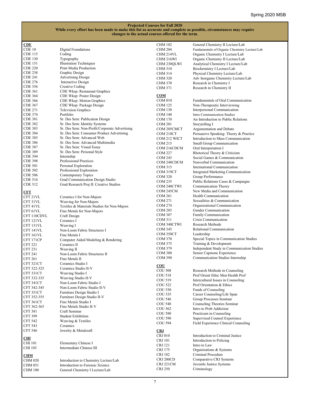| CDE             |                                               | <b>CHM 102</b> | General Chemistry II Lecture/Lab              |
|-----------------|-----------------------------------------------|----------------|-----------------------------------------------|
| CDE 10          | Digital Foundations                           | <b>CHM 204</b> | Fundamentals of Organic Chemistry Lecture/Lab |
| CDE 115         | Coding                                        | CHM 214VL      | Organic Chemistry I Lecture/Lab               |
| CDE 130         | Typography                                    | CHM 216WI      | Organic Chemistry II Lecture/Lab              |
| CDE 151         | <b>Illustration Techniques</b>                | CHM 230QLWI    | Analytical Chemistry I Lecture/Lab            |
| <b>CDE 220</b>  | Print Media Production                        | <b>CHM 310</b> | Biochemistry I Lecture/Lab                    |
| <b>CDE 238</b>  | Graphic Design                                | <b>CHM 314</b> | Physical Chemistry Lecture/Lab                |
| CDE 241         | <b>Advertising Design</b>                     | <b>CHM 320</b> | Adv Inorganic Chemistry Lecture/Lab           |
| CDE 276         | Interactive Design                            | <b>CHM 370</b> | Research in Chemistry I                       |
| CDE 356         | Creative Coding                               | <b>CHM 371</b> | Research in Chemistry II                      |
| CDE 361         | CDE Wksp: Restaurant Graphics                 |                |                                               |
| CDE 364         | CDE Wksp: Poster Design                       | <b>COM</b>     |                                               |
| CDE 366         | CDE Wksp: Motion Graphics                     | <b>COM 010</b> | Fundamentals of Oral Communication            |
| CDE 367         | CDE Wksp: Package Design                      | <b>COM 125</b> | Non-Therapeutic Interviewing                  |
| <b>CDE 271</b>  | <b>Television Graphics</b>                    | <b>COM 130</b> | Interpersonal Communication                   |
| CDE 374         | Portfolio                                     | <b>COM 140</b> | Intro Communication Studies                   |
| CDE 381         | Sr. Des Sem: Publication Design               | COM 170        | An Introduction to Public Relations           |
| CDE 382         | Sr. Des Sem: Identity Systems                 | <b>COM 201</b> | Storytelling I                                |
| CDE 383         | Sr. Des Sem: Non-Profit/Corporate Advertising | COM 205CMCT    | Argumentation and Debate                      |
| CDE 384         | Sr. Des Sem: Consumer Product Advertising     | COM 210CT      | Persuasive Speaking: Theory & Practice        |
| <b>CDE 385</b>  | Sr. Des Sem: Advanced Web                     | COM 212 WICT   | Introduction to Mass Communication            |
| CDE 386         | Sr. Des Sem: Advanced Multimedia              | <b>COM 215</b> | Small Group Communication                     |
| CDE 387         | Sr. Des Sem: Visual Essay                     | COM 216CDCM    | Oral Interpretation I                         |
| CDE 389         | Sr. Des Sem: Personal Style                   | <b>COM 227</b> | Rhetorical Theory & Criticism                 |
| CDE 394         | Internship                                    |                |                                               |
| CDE 398         | Professional Practices                        | <b>COM 243</b> | Social Games & Communication                  |
| CDE 501         | Personal Exploration                          | COM 248CDCM    | Nonverbal Communication                       |
| <b>CDE 502</b>  | Professional Exploration                      | <b>COM 315</b> | International Communication                   |
| <b>CDE 506</b>  | Contemporary Topics                           | COM 319CT      | Integrated Marketing Communication            |
| CDE 516         | Grad Communication Design Studio              | <b>COM 320</b> | Group Performance                             |
| CDE 512         | Grad Research Proj II: Creative Studios       | <b>COM 235</b> | Public Relations Cases & Campaigns            |
|                 |                                               | COM 240CTWI    | Communication Theory                          |
| ${\rm \bf CFT}$ |                                               | COM 245CM      | New Media and Communication                   |
| CFT 21VL        | Ceramics I for Non-Majors                     | <b>COM 261</b> | Health Communication                          |
| CFT 31VL        | Weaving for Non-Majors                        | <b>COM 271</b> | Sexualities & Communication                   |
| CFT 41VL        | Textiles & Materials Studies for Non-Majors   | <b>COM 274</b> | Organizational Communication                  |
| CFT 61VL        | Fine Metals for Non-Majors                    | <b>COM 285</b> | Gender Communication                          |
| CFT 110CDVL     | Craft Design                                  | <b>COM 387</b> | Family Communication                          |
| CFT 121VL       | Ceramics I                                    | <b>COM 311</b> | Crisis Communication                          |
|                 |                                               | COM 340CTWI    | Research Methods                              |
| CFT 131VL       | Weaving I                                     | <b>COM 345</b> | Relational Communication                      |
| CFT 141VL       | Non-Loom Fabric Structures I                  | COM 350CT      | Leadership                                    |
| CFT 161VL       | Fine Metals I                                 | <b>COM 370</b> | Special Topics in Communication Studies       |
| CFT 171CP       | Computer Aided Modeling & Rendering           | COM 375        | Training & Development                        |
| <b>CFT 221</b>  | Ceramics II                                   | <b>COM 379</b> | Independent Study in Communication Studies    |
| <b>CFT 231</b>  | Weaving II                                    | <b>COM 380</b> | Senior Capstone Experience                    |
| <b>CFT 241</b>  | Non-Loom Fabric Structures II                 |                |                                               |
| <b>CFT 261</b>  | Fine Metals II                                | <b>COM 390</b> | Communication Studies Internship              |
| CFT 321CT       | Ceramics Studio I                             | $_{\rm COU}$   |                                               |
| CFT 322-325     | Ceramics Studio II-V                          | <b>COU 508</b> | Research Methods in Counseling                |
| CFT 331CT       | Weaving Studio I                              | <b>COU 518</b> | Prof Orient Ethic Men Health Prof             |
| CFT 332-335     | Weaving Studio II-V                           | COU 519        | Intercultural Issues in Counseling            |
| CFT 341CT       | Non-Loom Fabric Studio I                      | COU 522        | Prof Orientation & Ethics                     |
| CFT 342-345     | Non-Loom Fabric Studio II-V                   | <b>COU 530</b> | Funds of Counseling                           |
| CFT 351CT       | Furniture Design Studio I                     | COU 535        | Career Counseling/Life Span                   |
| CFT 352-355     | Furniture Design Studio II-V                  | COU 546        | Group Processes Seminar                       |
| CFT 361CT       | Fine Metals Studio I                          |                |                                               |
| CFT 362-365     | Fine Metals Studio II-V                       | <b>COU 548</b> | Counseling Theories Seminar                   |
| <b>CFT 381</b>  | Craft Seminar                                 | <b>COU 562</b> | Intro to Prob Addiction                       |
| <b>CFT 399</b>  | <b>Student Exhibition</b>                     | <b>COU 580</b> | Practicum in Counseling                       |
| <b>CFT 542</b>  | Weaving & Textiles                            | <b>COU 590</b> | Supervised Counsel Experience                 |
| <b>CFT 543</b>  | Ceramics                                      | <b>COU 594</b> | Field Experience Clinical Counseling          |
| CFT 546         | Jewelry & Metalcraft                          | <b>CRJ</b>     |                                               |
|                 |                                               | <b>CRJ 010</b> | Introduction to Criminal Justice              |
| CHI             |                                               | CRJ 101        | Introduction to Policing                      |
| CHI 101         | Elementary Chinese I                          |                | Intro to Law                                  |
| CHI 103         | Intermediate Chinese III                      | CRJ 121        |                                               |
|                 |                                               | CRJ 175        | Organizations & Systems                       |
| <u>CHM</u>      |                                               | CRJ 182        | Criminal Procedure                            |
| CHM 020         | Introduction to Chemistry Lecture/Lab         | CRJ 200CD      | Comparative CRJ Systems                       |
| <b>CHM 051</b>  | Introduction to Forensic Science              | CRJ 221CM      | Juvenile Justice Systems                      |
| CHM 100         | General Chemistry I Lecture/Lab               | <b>CRJ 250</b> | Criminology                                   |
|                 |                                               |                |                                               |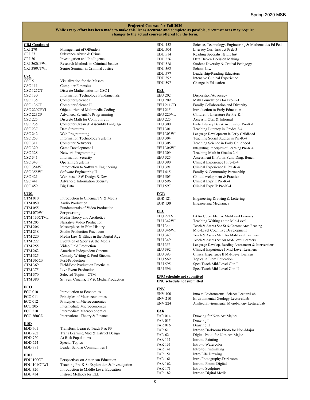| <b>CRJ Continued</b>             |                                                                 | <b>EDU 452</b>                    | Science, Technology, Engineering & Mathematics Ed Ped                         |
|----------------------------------|-----------------------------------------------------------------|-----------------------------------|-------------------------------------------------------------------------------|
| CRJ 270                          | Management of Offenders                                         | <b>EDU 504</b>                    | Literacy Curr Instruct Prek-3                                                 |
| <b>CRJ 271</b>                   | Substance Abuse & Crime                                         | <b>EDU 514</b>                    | Reading Specialist & Lit Inst                                                 |
| <b>CRJ 301</b>                   | Investigation and Intelligence                                  | <b>EDU 526</b>                    | Data Driven Decision Making                                                   |
| CRJ 362CPWI                      | Research Methods in Criminal Justice                            | <b>EDU 528</b>                    | Student Diversity & Critical Pedagogy                                         |
| CRJ 380CTWI                      | Senior Seminar in Criminal Justice                              | <b>EDU 562</b>                    | School Law                                                                    |
|                                  |                                                                 | <b>EDU 577</b>                    | Leadership/Reading Educators                                                  |
| $\csc$                           |                                                                 | <b>EDU 592</b>                    | Intensive Clinical Experience                                                 |
| CSC 5                            | Visualization for the Masses                                    | <b>EDU 597</b>                    | Change in Education                                                           |
| CSC 111                          | <b>Computer Forensics</b>                                       |                                   |                                                                               |
| CSC 125CT                        | Discrete Mathematics for CSC I                                  | EEU                               |                                                                               |
| <b>CSC 130</b>                   | <b>Information Technology Fundamentals</b>                      | <b>EEU 202</b>                    | Disposition/Advocacy                                                          |
| CSC 135                          | Computer Science I                                              | <b>EEU 209</b>                    | Math Foundations for Pre-K-1                                                  |
| CSC 136CP                        | Computer Science II                                             | EEU 211CD                         | Family Collaboration and Diversity                                            |
| CSC 220CPVL                      | Object-oriented Multimedia Coding                               | <b>EEU 215</b>                    | Introduction to Early Education                                               |
| CSC 223CP                        | Advanced Scientific Programming                                 | EEU 220VL                         | Children's Literature for Pre-K-4<br>Assess I: Obs. & Informal                |
| <b>CSC 225</b>                   | Discrete Math for Computing II                                  | <b>EEU 225</b>                    |                                                                               |
| <b>CSC 235</b><br><b>CSC 237</b> | Computer Organ & Assembly Language<br>Data Structures           | <b>EEU 300</b>                    | Early Literacy Dev & Acquisition Pre-K-1                                      |
| <b>CSC 242</b>                   | Web Programming                                                 | <b>EEU 301</b><br>EEU 303WI       | Teaching Literacy in Grades 2-4                                               |
| <b>CSC 253</b>                   | <b>Information Technology Systems</b>                           | <b>EEU 304</b>                    | Language Development in Early Childhood                                       |
| <b>CSC 311</b>                   | <b>Computer Networks</b>                                        | <b>EEU 305</b>                    | Teaching Social Studies in Pre-K-4<br>Teaching Science in Early Childhood     |
| <b>CSC 320</b>                   | Game Development I                                              | EEU 306WI                         | Integrating Principles of Learning Pre-K-4                                    |
| <b>CSC 328</b>                   |                                                                 | <b>EEU 309</b>                    |                                                                               |
|                                  | Network Programming                                             |                                   | Teaching Math in Grades 2-4                                                   |
| CSC 341<br>CSC 343               | <b>Information Security</b><br>Operating Systems                | <b>EEU 325</b><br><b>EEU 390</b>  | Assessment II: Form, Sum, Diag, Bench<br>Clinical Experience I Pre-K-4        |
| CSC 354WI                        |                                                                 | <b>EEU 391</b>                    |                                                                               |
| CSC 355WI                        | Introduction to Software Engineering<br>Software Engineering II | <b>EEU 415</b>                    | Clinical Experience II Pre-K-4<br>Family & Community Partnership              |
| CSC 421                          | Web-based SW Design & Dev                                       | <b>EEU 505</b>                    | Child development & Practice                                                  |
| <b>CSC 441</b>                   | <b>Advanced Information Security</b>                            | <b>EEU 596</b>                    | Clinical Expr I: Pre-K-4                                                      |
| <b>CSC 459</b>                   | Big Data                                                        | <b>EEU 597</b>                    | Clinical Expr II: Pre-K-4                                                     |
|                                  |                                                                 |                                   |                                                                               |
| <b>CTM</b>                       |                                                                 | <b>EGR</b>                        |                                                                               |
| CTM 010                          | Introduction to Cinema, TV & Media                              | <b>EGR 121</b>                    | Engineering Drawing & Lettering                                               |
| <b>CTM 050</b>                   | <b>Audio Production</b>                                         | <b>EGR 130</b>                    | <b>Engineering Mechanics</b>                                                  |
| <b>CTM 055</b>                   | Fundamentals of Video Production                                |                                   |                                                                               |
| CTM 070WI                        | Scriptwriting                                                   | <b>ELU</b>                        |                                                                               |
| CTM 130CTVL                      | Media Theory and Aesthetics                                     | ELU 221VL                         | Lit for Upper Elem & Mid-Level Learners                                       |
| <b>CTM 205</b>                   | Narrative Video Production                                      | ELU 342WI                         | Teaching Writing at the Mid-Level                                             |
| <b>CTM 206</b>                   | Masterpieces in Film History                                    | <b>ELU 344</b>                    | Teach & Assess Soc St & Content Area Reading                                  |
| CTM 218                          | <b>Studio Production Practicum</b>                              | ELU 346WI                         | Mid-Level Cognitive Development<br>Teach & Assess Math for Mid-Level Learners |
| <b>CTM 220</b>                   | Media Law & Ethics in the Digital Age                           | ELU 347<br><b>ELU 349</b>         | Teach & Assess Sci for Mid-Level Learners                                     |
| <b>CTM 222</b>                   | Evolution of Sports & the Media                                 | <b>ELU 353</b>                    | Language Develop, Reading Assessment & Interventions                          |
| <b>CTM 255</b>                   | Video Field Production                                          | <b>ELU 392</b>                    | Clinical Experience I Mid-Level Learners                                      |
| <b>CTM 262</b>                   | American Independent Cinema                                     | <b>ELU 393</b>                    | Clinical Experience II Mid-Level Learners                                     |
| <b>CTM 325</b>                   | Comedy Writing & Prod Sitcoms                                   | <b>ELU 569</b>                    | Topics in Elem Education                                                      |
| CTM 365CP                        | Post-Production                                                 | <b>ELU 595</b>                    | Spec Teach Mid-Level Clin I                                                   |
| CTM 369                          | Field/Post Production Practicum                                 | ELU 596                           | Spec Teach Mid-Level Clin II                                                  |
| CTM 375                          | Live Event Production                                           |                                   |                                                                               |
| <b>CTM 370</b>                   | Selected Topics - CTM                                           | <b>ENG</b> schedule not submitted |                                                                               |
| <b>CTM 380</b>                   | Sr. Sem Cinema, TV & Media Production                           | <b>ENU</b> schedule not submitted |                                                                               |
| <u>ECO</u>                       |                                                                 | <u>ENV</u>                        |                                                                               |
| <b>ECO 010</b>                   | Introduction to Economics                                       | <b>ENV 100</b>                    | Intro to Environmental Science Lecture/Lab                                    |
| <b>ECO 011</b>                   | Principles of Macroeconomics                                    | <b>ENV 210</b>                    | Environmental Geology Lecture/Lab                                             |
| <b>ECO 012</b>                   | Principles of Microeconomics                                    | <b>ENV 224</b>                    | Applied Environmental Microbiology Lecture/Lab                                |
| <b>ECO 205</b>                   | Intermediate Microeconomics                                     |                                   |                                                                               |
| <b>ECO 210</b>                   | Intermediate Macroeconomics                                     | <b>FAR</b>                        |                                                                               |
| ECO 360CD                        | International Theory & Finance                                  | <b>FAR 014</b>                    | Drawing for Non-Art Majors                                                    |
|                                  |                                                                 | <b>FAR 015</b>                    | Drawing I                                                                     |
| <u>EDD</u><br>EDD 701            | Transform Learn & Teach P & PP                                  | <b>FAR 016</b>                    | Drawing II                                                                    |
| <b>EDD 702</b>                   | Trans Learning Mod & Instruct Design                            | FAR 61                            | Intro to Darkroom Photo for Non-Major                                         |
| <b>EDD 720</b>                   | At Risk Populations                                             | FAR 62                            | Digital Photo for Non-Art Major                                               |
|                                  |                                                                 | FAR 111                           | Intro to Painting                                                             |
| <b>EDD 724</b><br>EDD 791        | Special Topics<br>Leader Scholar Communities I                  | <b>FAR 131</b>                    | Intro to Watercolor                                                           |
|                                  |                                                                 | <b>FAR 141</b>                    | Intro to Printmaking                                                          |
| <u>EDU</u>                       |                                                                 | <b>FAR 151</b>                    | Intro Life Drawing                                                            |
| EDU 100CT                        | Perspectives on American Education                              | <b>FAR 161</b>                    | Intro Photography-Darkroom                                                    |
| EDU 101CTWI                      | Teaching Pre-K-8: Exploration & Investigation                   | FAR 162                           | Intro to Photo: Digital                                                       |
| <b>EDU 326</b>                   | Introduction to Middle Level Education                          | FAR 171                           | Intro to Sculpture                                                            |
| <b>EDU 434</b>                   | Instruct Methods for ELL                                        | <b>FAR 182</b>                    | Intro to Digital Media                                                        |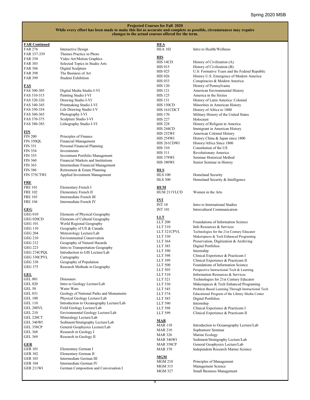| <b>FAR Continued</b>    |                                          | <b>HEA</b>       |                                                   |
|-------------------------|------------------------------------------|------------------|---------------------------------------------------|
| <b>FAR 276</b>          | Interactive Design                       | <b>HEA 102</b>   | Intro to Health/Wellness                          |
| FAR 337-339             | Themes Practice in Photo                 |                  |                                                   |
| <b>FAR 350</b>          | Video Art/Motion Graphics                | <b>HIS</b>       |                                                   |
| <b>FAR 385</b>          | Selected Topics in Studio Arts           | HIS 14CD         | History of Civilization (A)                       |
| <b>FAR 386</b>          | Digital Sculpture                        | <b>HIS 015</b>   | History of Civilization (B)                       |
| <b>FAR 398</b>          | The Business of Art                      | <b>HIS 025</b>   | U.S: Formative Years and the Federal Republic     |
| <b>FAR 399</b>          | <b>Student Exhibition</b>                | <b>HIS 026</b>   | History U.S: Emergence of Modern America          |
|                         |                                          | <b>HIS 033</b>   | Conspiracies & Modern America                     |
| FAS                     |                                          | <b>HIS 120</b>   | History of Pennsylvania                           |
| FAS 300-305             | Digital Media Studio I-VI                | <b>HIS 121</b>   | American Environmental History                    |
| FAS 310-315             | Painting Studio I-VI                     | <b>HIS 125</b>   | America in the Sixties                            |
| FAS 320-326             | Drawing Studio I-VI                      | <b>HIS 131</b>   | History of Latin America: Colonial                |
| FAS 340-345             | Printmaking Studio I-VI                  | <b>HIS 150CD</b> | Minorities in American History                    |
| FAS 350-354             | Life Drawing Studio I-V                  | HIS 161 CDCT     | History of Africa to 1800                         |
| FAS 360-365             | Photography I-VI                         | <b>HIS 170</b>   | Military History of the United States             |
| FAS 370-375             | Sculpture Studio I-VI                    | <b>HIS 227</b>   | Holocaust                                         |
| FAS 380-385             |                                          | <b>HIS 228</b>   | History of Religion in America                    |
|                         | Lithography Studio I-VI                  |                  |                                                   |
| <u>FIN</u>              |                                          | HIS 244CD        | Immigrant in American History                     |
| <b>FIN 200</b>          | Principles of Finance                    | HIS 252WI        | American Colonial History                         |
| <b>FIN 350QL</b>        | Financial Management                     | HIS 254WI        | History China & Japan since 1800                  |
| <b>FIN 351</b>          | Personal Financial Planning              | HIS 261CDWI      | History/Africa Since 1800                         |
| <b>FIN 354</b>          | Investments                              | <b>HIS 310</b>   | Constitution of the US                            |
| <b>FIN 355</b>          | Investment Portfolio Management          | <b>HIS 311</b>   | Revolutionary America                             |
| <b>FIN 360</b>          | Financial Markets and Institutions       | HIS 378WI        | Seminar Historical Method                         |
|                         |                                          | <b>HIS 380WI</b> | Senior Seminar in History                         |
| <b>FIN 363</b>          | Intermediate Financial Management        |                  |                                                   |
| <b>FIN 386</b>          | Retirement & Estate Planning             | HLS              |                                                   |
| FIN 375CTWI             | Applied Investment Management            | <b>HLS 100</b>   | Homeland Security                                 |
| ${\underline{\bf FRE}}$ |                                          | <b>HLS 300</b>   | Homeland Security & Intelligence                  |
| <b>FRE 101</b>          | Elementary French I                      | <b>HUM</b>       |                                                   |
| <b>FRE 102</b>          | Elementary French II                     | HUM 211VLCD      | Women in the Arts                                 |
| <b>FRE 103</b>          | Intermediate French III                  |                  |                                                   |
| <b>FRE 104</b>          | Intermediate French IV                   | INT              |                                                   |
|                         |                                          | <b>INT 10</b>    | Intro to International Studies                    |
| GEG                     |                                          | <b>INT 101</b>   | Intercultural Communication                       |
| <b>GEG 010</b>          | Elements of Physical Geography           |                  |                                                   |
| GEG 020CD               | Elements of Cultural Geography           | <b>LLT</b>       |                                                   |
| GEG 101                 | World Regional Geography                 | LLT 200          | Foundations of Information Science                |
| GEG 110                 | Geography of US & Canada                 | LLT 310          | Info Resources & Services                         |
| <b>GEG 204</b>          | Meteorology Lecture/Lab                  | LLT 321CPVL      | Technologies for the 21st Century Educator        |
| <b>GEG 210</b>          | <b>Environmental Conservation</b>        | LLT 330          | Makerspaces & Tech Enhanced Programing            |
| GEG 212                 | Geography of Natural Hazards             | LLT 364          | Preservation, Digitization & Archiving            |
| <b>GEG 223</b>          | Intro to Transportation Geography        | LLT 385          | Digital Portfolios                                |
| GEG 274CPQL             | Introduction to GIS Lecture/Lab          | LLT 390          | Internship                                        |
| GEG 330CPVL             | Cartography                              | LLT 398          | Clinical Experience & Practicum I                 |
| GEG 338                 |                                          | LLT 399          | Clinical Experience & Practicum II                |
| <b>GEG 375</b>          | Geography of Population                  | LLT 500          | Foundations of Information Science                |
|                         | Research Methods in Geography            | LLT 505          | Perspective Instructional Tech & Learning         |
| GEL                     |                                          | LLT 510          | Information Resources & Services                  |
| <b>GEL 001</b>          | Dinosaurs                                | LLT 521          | Technologies for 21st Century Educator            |
| <b>GEL 020</b>          | Intro to Geology Lecture/Lab             | LLT 530          | Makerspaces & Tech Enhanced Programing            |
| GEL 50                  | Water Wars                               | LLT 545          | Problem Based Learning Through Instructional Tech |
| <b>GEL 031</b>          | Geology of National Parks and Monuments  | LLT 574          | Educational Program of the Library Media Center   |
| <b>GEL 100</b>          | Physical Geology Lecture/Lab             | LLT 585          | Digital Portfolios                                |
| <b>GEL 110</b>          | Introduction to Oceanography Lecture/Lab | LLT 590          | Internship                                        |
| GEL 200VL               | Field Geology Lecture/Lab                |                  |                                                   |
| <b>GEL 210</b>          | Environmental Geology Lecture/Lab        | LLT 598          | Clinical Experience & Practicum I                 |
| GEL 220CT               | Mineralogy Lecture/Lab                   | LLT 599          | Clinical Experience & Practicum II                |
| GEL 346WI               |                                          | MAR              |                                                   |
|                         | Sediment/Stratigraphy Lecture/Lab        | <b>MAR 110</b>   | Introduction to Oceanography Lecture/Lab          |
| GEL 358CP               | General Geophysics Lecture/Lab           | <b>MAR 210</b>   | Sophomore Seminar                                 |
| <b>GEL 368</b>          | Research in Geology I                    | <b>MAR 326</b>   | Marine Ecology                                    |
| <b>GEL 369</b>          | Research in Geology II                   | MAR 346WI        | Sediment/Stratigraphy Lecture/Lab                 |
| <b>GER</b>              |                                          | MAR 358CP        | General Geophysics Lecture/Lab                    |
| GER 101                 | Elementary German I                      | <b>MAR 370</b>   | Independent Research Marine Science               |
| <b>GER 102</b>          | Elementary German II                     |                  |                                                   |
| <b>GER 103</b>          | Intermediate German III                  | <b>MGM</b>       |                                                   |
| <b>GER 104</b>          | Intermediate German IV                   | <b>MGM 210</b>   | Principles of Management                          |
| GER 211WI               | German Composition and Conversation I    | MGM 315          | Management Science                                |
|                         |                                          | <b>MGM 327</b>   | Small Business Management                         |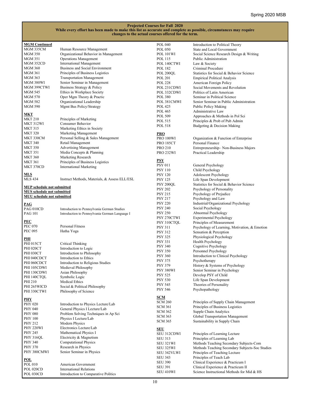| <b>MGM Continued</b>                                                   |                                                           | <b>POL 040</b>   | Introduction to Political Theory                |
|------------------------------------------------------------------------|-----------------------------------------------------------|------------------|-------------------------------------------------|
| MGM 335CM                                                              | Human Resource Management                                 | <b>POL 050</b>   | State and Local Government                      |
| <b>MGM 350</b>                                                         | Organizational Behavior in Management                     | POL 101WI        | Social Science Research Design & Writing        |
| MGM 351                                                                | <b>Operations Management</b>                              | <b>POL 115</b>   | Public Administration                           |
| MGM 352CD                                                              | <b>International Management</b>                           | POL 140CTWI      | Law & Society                                   |
| <b>MGM 360</b>                                                         | Business and Social Environment                           | POL 182          | Criminal Procedure                              |
| MGM 361                                                                | Principles of Business Logistics                          | POL 200QL        | Statistics for Social & Behavior Science        |
| MGM 363                                                                | <b>Transportation Management</b>                          | <b>POL 201</b>   | <b>Empirical Political Analysis</b>             |
| MGM 380WI                                                              | Senior Seminar in Management                              | <b>POL 228</b>   |                                                 |
| MGM 399CTWI                                                            |                                                           |                  | American Foreign Policy                         |
|                                                                        | Business Strategy & Policy<br>Ethics in Workplace Society | POL 231CDWI      | Social Movements and Revolution                 |
| MGM 545                                                                |                                                           | POL 332CDWI      | Politics of Latin American                      |
| <b>MGM 570</b>                                                         | Oper Mgm Theory & Practic                                 | <b>POL 380</b>   | Seminar in Political Science                    |
| <b>MGM 582</b>                                                         | Organizational Leadership                                 | POL 381CMWI      | Senior Seminar in Public Administration         |
| <b>MGM 590</b>                                                         | Mgmt Bus Policy/Strategy                                  | <b>POL 425</b>   | <b>Public Policy Making</b>                     |
| <u>мкт</u>                                                             |                                                           | <b>POL 465</b>   | Administrative Law                              |
| <b>MKT 210</b>                                                         | Principles of Marketing                                   | POL 509          | Approaches & Methods in Pol Sci                 |
| MKT 312WI                                                              | Consumer Behavior                                         | POL 515          | Principles & Prob of Pub Admin                  |
|                                                                        |                                                           | <b>POL 518</b>   | Budgeting & Decision Making                     |
| <b>MKT 315</b>                                                         | Marketing Ethics in Society                               |                  |                                                 |
| <b>MKT 320</b>                                                         | Marketing Management                                      | <b>PRO</b>       |                                                 |
| MKT 330CM                                                              | Personal Selling & Sales Management                       | PRO 100WI        | Organization & Function of Enterprise           |
| <b>MKT 340</b>                                                         | Retail Management                                         | <b>PRO 185CT</b> | Personal Finance                                |
| <b>MKT 350</b>                                                         | <b>Advertising Management</b>                             | <b>PRO 210</b>   | Entrepreneurship-Non-Business Majors            |
| <b>MKT 351</b>                                                         | Media Concepts & Planning                                 | <b>PRO 232WI</b> | Practical Leadership                            |
| <b>MKT 360</b>                                                         | Marketing Research                                        |                  |                                                 |
| <b>MKT 361</b>                                                         | Principles of Business Logistics                          | <b>PSY</b>       |                                                 |
| MKT 370CD                                                              | <b>International Marketing</b>                            | <b>PSY 011</b>   | General Psychology                              |
|                                                                        |                                                           | <b>PSY 110</b>   | Child Psychology                                |
| <u>MLS</u>                                                             |                                                           | <b>PSY 120</b>   | Adolescent Psychology                           |
| <b>MLS 434</b>                                                         | Instruct Methods, Materials, & Assess ELL/ESL             | <b>PSY 125</b>   | Life Span Development                           |
|                                                                        |                                                           | PSY 200QL        | Statistics for Social & Behavior Science        |
| <b>MUP</b> schedule not submitted<br><b>MUS</b> schedule not submitted |                                                           | <b>PSY 202</b>   | Psychology of Personality                       |
|                                                                        |                                                           | <b>PSY 215</b>   | Psychology of Prejudice                         |
| <b>MUU</b> schedule not submitted                                      |                                                           | <b>PSY 217</b>   | Psychology and Law                              |
| <b>PAG</b>                                                             |                                                           | <b>PSY 220</b>   | Industrial/Organizational Psychology            |
| PAG 010CD                                                              | Introduction to Pennsylvania German Studies               | <b>PSY 240</b>   | Social Psychology                               |
| <b>PAG 101</b>                                                         | Introduction to Pennsylvania German Language I            | <b>PSY 250</b>   | Abnormal Psychology                             |
|                                                                        |                                                           | PSY 270CTWI      | <b>Experimental Psychology</b>                  |
| PEC                                                                    |                                                           | PSY 310CTQL      | Principles of Measurement                       |
| <b>PEC 070</b>                                                         | Personal Fitness                                          | <b>PSY 311</b>   | Psychology of Learning, Motivation, & Emotion   |
| <b>PEC 095</b>                                                         | Hatha Yoga                                                | <b>PSY 312</b>   | Sensation & Perception                          |
|                                                                        |                                                           | <b>PSY 325</b>   | Physiological Psychology                        |
| PHI                                                                    |                                                           |                  |                                                 |
| <b>PHI 015CT</b>                                                       | Critical Thinking                                         | <b>PSY 331</b>   | Health Psychology                               |
| <b>PHI 020CT</b>                                                       | Introduction to Logic                                     | <b>PSY 340</b>   | Cognitive Psychology                            |
| <b>PHI 030CT</b>                                                       | Introduction to Philosophy                                | <b>PSY 350</b>   | Personnel Psychology                            |
| PHI 040CDCT                                                            | Introduction to Ethics                                    | <b>PSY 360</b>   | Introduction to Clinical Psychology             |
| PHI 060CDCT                                                            | Introduction to Religious Studies                         | <b>PSY 375</b>   | Psychotherapy                                   |
| PHI 105CDWI                                                            | Medieval Philosophy                                       | <b>PSY 379</b>   | History & Systems of Psychology                 |
| PHI 130CDWI                                                            | Asian Philosophy                                          | PSY 380WI        | Senior Seminar in Psychology                    |
| PHI 140CTQL                                                            | Symbolic Logic                                            | <b>PSY 525</b>   | Develop PSY of Child                            |
| PHI 210                                                                | Medical Ethics                                            | <b>PSY 530</b>   | Life Span Development                           |
| PHI 265WICD                                                            | Social & Political Philosophy                             | <b>PSY 545</b>   | Theories of Personality                         |
| PHI 330CTWI                                                            | Philosophy of Science                                     | <b>PSY 546</b>   | Psychopathology                                 |
|                                                                        |                                                           |                  |                                                 |
| <u>PHY</u>                                                             |                                                           | <u>SCM</u>       |                                                 |
| <b>PHY 020</b>                                                         | Introduction to Physics Lecture/Lab                       | <b>SCM 260</b>   | Principles of Supply Chain Management           |
| <b>PHY 040</b>                                                         | General Physics I Lecture/Lab                             | SCM 361          | Principles of Business Logistics                |
| <b>PHY 080</b>                                                         | Problem Solving Techniques in Ap Sci                      | <b>SCM 362</b>   | Supple Chain Analytics                          |
| <b>PHY 100</b>                                                         | Physics I Lecture/Lab                                     | <b>SCM 363</b>   | Global Transportation Management                |
| PHY 212                                                                | Modern Physics                                            | <b>SCM 365</b>   | Sustainability in Supply Chain                  |
| PHY 220WI                                                              | Electronics Lecture/Lab                                   |                  |                                                 |
| PHY 245                                                                | Mathematical Physics I                                    | <b>SEU</b>       |                                                 |
| <b>PHY 316QL</b>                                                       | Electricity & Magnetism                                   | SEU 312CDWI      | Principles of Learning Lecture                  |
|                                                                        |                                                           | <b>SEU 313</b>   | Principles of Learning Lab                      |
| <b>PHY 340</b>                                                         | <b>Computational Physics</b>                              | SEU 321WI        | Methods Teaching Secondary Subjects-Com         |
| <b>PHY 370</b>                                                         | Research in Physics                                       | SEU 325WI        | Methods Teaching Secondary Subjects-Soc Studies |
| PHY 380CMWI                                                            | Senior Seminar in Physics                                 | SEU 342VLWI      | Principles of Teaching Lecture                  |
| <u>POL</u>                                                             |                                                           | <b>SEU 343</b>   | Principles of Teach Lab                         |
| POL 010                                                                | American Government                                       | <b>SEU 390</b>   | Clinical Experience & Practicum I               |
| POL 020CD                                                              | <b>International Relations</b>                            | <b>SEU 391</b>   | Clinical Experience & Practicum II              |
| DOT 030CD                                                              | Introduction to Comparative Dolitics                      | SEU 410WI        | Science Instructional Methods for Mid & HS      |

POL 030CD Introduction to Comparative Politics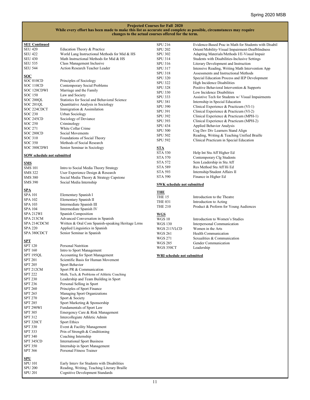| <b>SEU Continued</b>              |                                                    | <b>SPU 216</b>                    | Evidence-Based Prac in Math for Students with Disabil |
|-----------------------------------|----------------------------------------------------|-----------------------------------|-------------------------------------------------------|
| <b>SEU 420</b>                    | Education Theory & Practice                        | <b>SPU 202</b>                    | Orient/Mobility-Visual Impairment-Deafblindness       |
| <b>SEU 422</b>                    | World Lang Instructional Methods for Mid & HS      | <b>SPU 302</b>                    | Adapting Materials/Methods I/E-Visual Impair          |
| <b>SEU 430</b>                    | Math Instructional Methods for Mid & HS            | <b>SPU 314</b>                    | Students with Disabilities-Inclusive Settings         |
| <b>SEU 535</b>                    |                                                    |                                   |                                                       |
|                                   | Class Management Inclusive                         | SPU 316                           | Literary Development and Instruction                  |
| <b>SEU 544</b>                    | Action Research Teacher Leader                     | <b>SPU 317</b>                    | Intensive Reading, Writing Math Intervention App      |
|                                   |                                                    | <b>SPU 318</b>                    | Assessments and Instructional Methods                 |
| <b>SOC</b>                        |                                                    | <b>SPU 320</b>                    | Special Education Process and IEP Development         |
| SOC 010CD                         | Principles of Sociology                            |                                   |                                                       |
| SOC 110CD                         | Contemporary Social Problems                       | <b>SPU 322</b>                    | High Incidence Disabilities                           |
|                                   |                                                    | <b>SPU 328</b>                    | Positive Behavioral Intervention & Supports           |
| SOC 120CDWI                       | Marriage and the Family                            | <b>SPU 330</b>                    | Low Incidence Disabilities                            |
| SOC 150                           | Law and Society                                    | <b>SPU 333</b>                    | Assistive Tech for Students w/ Visual Impairments     |
| SOC 200QL                         | Statistics for Social and Behavioral Science       |                                   |                                                       |
| <b>SOC 201QL</b>                  | Quantitative Analysis in Sociology                 | <b>SPU 381</b>                    | Internship in Special Education                       |
|                                   |                                                    | <b>SPU 390</b>                    | Clinical Experience & Practicum (VI-1)                |
| SOC 224CDCT                       | Immigration & Assimilation                         | <b>SPU 391</b>                    | Clinical Experience & Practicum (VI-2)                |
| SOC 230                           | Urban Sociology                                    |                                   |                                                       |
| SOC 245CD                         | Sociology of Deviance                              | <b>SPU 392</b>                    | Clinical Experience & Practicum (MPH-1)               |
| <b>SOC 250</b>                    |                                                    | <b>SPU 393</b>                    | Clinical Experience & Practicum (MPH-2)               |
|                                   | Criminology                                        | <b>SPU 434</b>                    | Applied Behavior Analysis                             |
| <b>SOC 271</b>                    | White Collar Crime                                 | <b>SPU 500</b>                    | Cog Dev Div Learners Stand Align                      |
| SOC 280CD                         | Social Movements                                   |                                   |                                                       |
| SOC 310                           | Foundations of Social Theory                       | <b>SPU 502</b>                    | Reading, Writing & Teaching Unified Braille           |
|                                   |                                                    | <b>SPU 592</b>                    | Clinical Practicum in Special Education               |
| SOC 350                           | Methods of Social Research                         |                                   |                                                       |
| SOC 380CDWI                       | Senior Seminar in Sociology                        | <b>STA</b>                        |                                                       |
|                                   |                                                    | <b>STA 530</b>                    | Help Int Stu Aff Higher Ed                            |
| <b>SOW</b> schedule not submitted |                                                    |                                   |                                                       |
|                                   |                                                    | <b>STA 570</b>                    | Contemporary Clg Students                             |
| <u>SMS</u>                        |                                                    | <b>STA 572</b>                    | Sem Leadership in Stu Aff                             |
| <b>SMS 101</b>                    | Intro to Social Media Theory Strategy              | <b>STA 589</b>                    | Res Method Stu Aff Hi Ed                              |
|                                   |                                                    |                                   |                                                       |
| SMS 322                           | User Experience Design & Research                  | <b>STA 593</b>                    | Internship/Student Affairs II                         |
| <b>SMS 380</b>                    | Social Media Theory & Strategy Capstone            | <b>STA 590</b>                    | Finance in Higher Ed                                  |
| <b>SMS 390</b>                    | Social Media Internship                            |                                   |                                                       |
|                                   |                                                    | <b>SWK</b> schedule not submitted |                                                       |
| <u>SPA</u>                        |                                                    |                                   |                                                       |
|                                   |                                                    | <b>THE</b>                        |                                                       |
| SPA 101                           | Elementary Spanish I                               | THE 15                            | Introduction to the Theatre                           |
| SPA 102                           | Elementary Spanish II                              |                                   |                                                       |
| SPA 103                           | Intermediate Spanish III                           | <b>THE 031</b>                    | Introduction to Acting                                |
|                                   |                                                    | <b>THE 210</b>                    | Product & Preform for Young Audiences                 |
| SPA 104                           | Intermediate Spanish IV                            |                                   |                                                       |
| SPA 212WI                         | Spanish Composition                                | <u>WGS</u>                        |                                                       |
| SPA 213CM                         | Advanced Conversation in Spanish                   | <b>WGS 10</b>                     | Introduction to Women's Studies                       |
| SPA 214CDCM                       | Written & Oral Com Spanish-speaking Heritage Lrrns |                                   |                                                       |
|                                   |                                                    | <b>WGS 130</b>                    | Interpersonal Communication                           |
| <b>SPA 220</b>                    | Applied Linguistics in Spanish                     | WGS 211VLCD                       | Women in the Arts                                     |
| SPA 380CDCT                       | Senior Seminar in Spanish                          | <b>WGS 261</b>                    | Health Communication                                  |
|                                   |                                                    | <b>WGS 271</b>                    | Sexualities & Communication                           |
| <u>SPT</u>                        |                                                    |                                   |                                                       |
| SPT 120                           | Personal Nutrition                                 | <b>WGS 285</b>                    | Gender Communication                                  |
|                                   |                                                    | WGS 350CT                         | Leadership                                            |
| SPT 160                           | Intro to Sport Management                          |                                   |                                                       |
| SPT 195QL                         | Accounting for Sport Management                    | WRI schedule not submitted        |                                                       |
| <b>SPT 201</b>                    | Scientific Basis for Human Movement                |                                   |                                                       |
| <b>SPT 205</b>                    |                                                    |                                   |                                                       |
|                                   | Sport Behavior                                     |                                   |                                                       |
| SPT 212CM                         | Sport PR & Communication                           |                                   |                                                       |
| <b>SPT 222</b>                    | Meth, Tech, & Problems of Athletic Coaching        |                                   |                                                       |
| <b>SPT 230</b>                    | Leadership and Team Building in Sport              |                                   |                                                       |
|                                   |                                                    |                                   |                                                       |
| SPT 236                           | Personal Selling in Sport                          |                                   |                                                       |
| <b>SPT 260</b>                    | Principles of Sport Finance                        |                                   |                                                       |
| <b>SPT 265</b>                    | Managing Sport Organizations                       |                                   |                                                       |
| <b>SPT 270</b>                    | Sport & Society                                    |                                   |                                                       |
|                                   |                                                    |                                   |                                                       |
| <b>SPT 285</b>                    | Sport Marketing & Sponsorship                      |                                   |                                                       |
| SPT 290WI                         | Fundamentals of Sport Law                          |                                   |                                                       |
| <b>SPT 305</b>                    | Emergency Care & Risk Management                   |                                   |                                                       |
| SPT 312                           |                                                    |                                   |                                                       |
|                                   | Intercollegiate Athletic Admin                     |                                   |                                                       |
| SPT 320CT                         | Sport Ethics                                       |                                   |                                                       |
| <b>SPT 330</b>                    | Event & Facility Management                        |                                   |                                                       |
| SPT 333                           | Prin of Strength & Conditioning                    |                                   |                                                       |
| <b>SPT 340</b>                    |                                                    |                                   |                                                       |
|                                   | Coaching Internship                                |                                   |                                                       |
| SPT 345CD                         | <b>International Sport Business</b>                |                                   |                                                       |
| <b>SPT 350</b>                    | Internship in Sport Management                     |                                   |                                                       |
| <b>SPT 366</b>                    | Personal Fitness Trainer                           |                                   |                                                       |
|                                   |                                                    |                                   |                                                       |
| <b>SPU</b>                        |                                                    |                                   |                                                       |
|                                   |                                                    |                                   |                                                       |
| SPU 101                           | Early Interv for Students with Disabilities        |                                   |                                                       |
| <b>SPU 200</b>                    | Reading, Writing, Teaching Literary Braille        |                                   |                                                       |
| <b>SPU 201</b>                    | Cognitive Development Standards                    |                                   |                                                       |
|                                   |                                                    |                                   |                                                       |